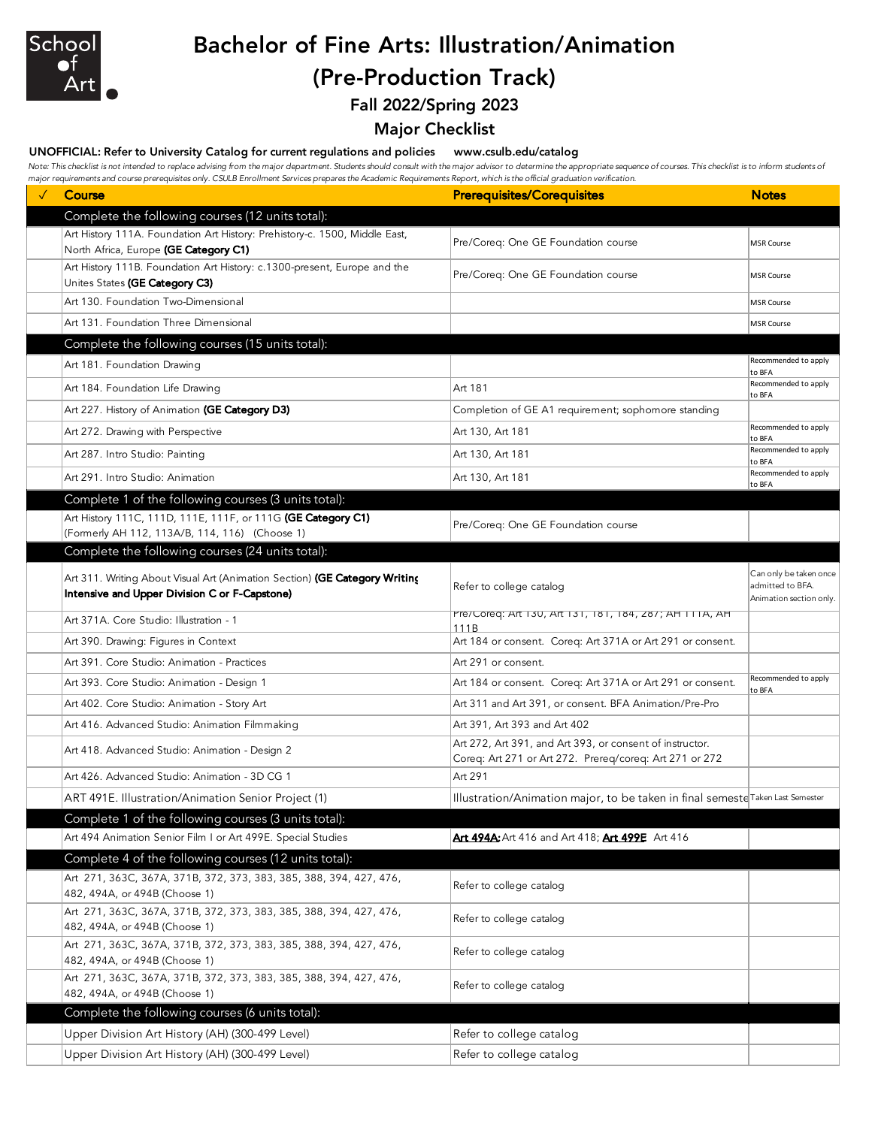

# Bachelor of Fine Arts: Illustration/Animation (Pre-Production Track)

Fall 2022/Spring 2023

### Major Checklist

### UNOFFICIAL: Refer to University Catalog for current regulations and policies www.csulb.edu/catalog

Note: This checklist is not intended to replace advising from the major department. Students should consult with the major advisor to determine the appropriate sequence of courses. This checklist is to inform students of *major requirements and course prerequisites only. CSULB Enrollment Services prepares the Academic Requirements Report, which is the official graduation verification.*

| Complete the following courses (12 units total):<br>Art History 111A. Foundation Art History: Prehistory-c. 1500, Middle East,<br>Pre/Coreq: One GE Foundation course<br><b>MSR Course</b><br>North Africa, Europe (GE Category C1)<br>Art History 111B. Foundation Art History: c.1300-present, Europe and the<br>Pre/Coreq: One GE Foundation course<br><b>MSR Course</b><br>Unites States (GE Category C3)<br>Art 130. Foundation Two-Dimensional<br><b>MSR Course</b> |  |
|---------------------------------------------------------------------------------------------------------------------------------------------------------------------------------------------------------------------------------------------------------------------------------------------------------------------------------------------------------------------------------------------------------------------------------------------------------------------------|--|
|                                                                                                                                                                                                                                                                                                                                                                                                                                                                           |  |
|                                                                                                                                                                                                                                                                                                                                                                                                                                                                           |  |
|                                                                                                                                                                                                                                                                                                                                                                                                                                                                           |  |
|                                                                                                                                                                                                                                                                                                                                                                                                                                                                           |  |
| Art 131. Foundation Three Dimensional<br><b>MSR Course</b>                                                                                                                                                                                                                                                                                                                                                                                                                |  |
| Complete the following courses (15 units total):                                                                                                                                                                                                                                                                                                                                                                                                                          |  |
| Recommended to apply<br>Art 181. Foundation Drawing<br>to BFA                                                                                                                                                                                                                                                                                                                                                                                                             |  |
| Recommended to apply<br>Art 181<br>Art 184. Foundation Life Drawing<br>to BFA                                                                                                                                                                                                                                                                                                                                                                                             |  |
| Art 227. History of Animation (GE Category D3)<br>Completion of GE A1 requirement; sophomore standing                                                                                                                                                                                                                                                                                                                                                                     |  |
| Recommended to apply<br>Art 130, Art 181<br>Art 272. Drawing with Perspective<br>to BFA                                                                                                                                                                                                                                                                                                                                                                                   |  |
| Recommended to apply<br>Art 287. Intro Studio: Painting<br>Art 130, Art 181<br>to BFA                                                                                                                                                                                                                                                                                                                                                                                     |  |
| Recommended to apply<br>Art 291. Intro Studio: Animation<br>Art 130, Art 181<br>to BFA                                                                                                                                                                                                                                                                                                                                                                                    |  |
| Complete 1 of the following courses (3 units total):                                                                                                                                                                                                                                                                                                                                                                                                                      |  |
| Art History 111C, 111D, 111E, 111F, or 111G (GE Category C1)<br>Pre/Coreg: One GE Foundation course                                                                                                                                                                                                                                                                                                                                                                       |  |
| (Formerly AH 112, 113A/B, 114, 116) (Choose 1)<br>Complete the following courses (24 units total):                                                                                                                                                                                                                                                                                                                                                                        |  |
| Can only be taken once                                                                                                                                                                                                                                                                                                                                                                                                                                                    |  |
| Art 311. Writing About Visual Art (Animation Section) (GE Category Writing<br>Refer to college catalog<br>admitted to BFA.<br>Intensive and Upper Division C or F-Capstone)<br>Animation section only.                                                                                                                                                                                                                                                                    |  |
| Pre/Coreq: ART 130, ART 131, 181, 184, 287; AH 111A, AH<br>Art 371A. Core Studio: Illustration - 1<br>111 <sub>R</sub>                                                                                                                                                                                                                                                                                                                                                    |  |
| Art 184 or consent. Coreq: Art 371A or Art 291 or consent.<br>Art 390. Drawing: Figures in Context                                                                                                                                                                                                                                                                                                                                                                        |  |
| Art 391. Core Studio: Animation - Practices<br>Art 291 or consent.                                                                                                                                                                                                                                                                                                                                                                                                        |  |
| Recommended to apply<br>Art 184 or consent. Coreq: Art 371A or Art 291 or consent.<br>Art 393. Core Studio: Animation - Design 1<br>to BFA                                                                                                                                                                                                                                                                                                                                |  |
| Art 311 and Art 391, or consent. BFA Animation/Pre-Pro<br>Art 402. Core Studio: Animation - Story Art                                                                                                                                                                                                                                                                                                                                                                     |  |
| Art 416. Advanced Studio: Animation Filmmaking<br>Art 391, Art 393 and Art 402                                                                                                                                                                                                                                                                                                                                                                                            |  |
| Art 272, Art 391, and Art 393, or consent of instructor.<br>Art 418. Advanced Studio: Animation - Design 2<br>Coreq: Art 271 or Art 272. Prereq/coreq: Art 271 or 272                                                                                                                                                                                                                                                                                                     |  |
| Art 426. Advanced Studio: Animation - 3D CG 1<br>Art 291                                                                                                                                                                                                                                                                                                                                                                                                                  |  |
| Illustration/Animation major, to be taken in final semeste Taken Last Semester<br>ART 491E. Illustration/Animation Senior Project (1)                                                                                                                                                                                                                                                                                                                                     |  |
| Complete 1 of the following courses (3 units total):                                                                                                                                                                                                                                                                                                                                                                                                                      |  |
| Art 494A: Art 416 and Art 418; Art 499E Art 416<br>Art 494 Animation Senior Film I or Art 499E. Special Studies                                                                                                                                                                                                                                                                                                                                                           |  |
| Complete 4 of the following courses (12 units total):                                                                                                                                                                                                                                                                                                                                                                                                                     |  |
| Art 271, 363C, 367A, 371B, 372, 373, 383, 385, 388, 394, 427, 476,<br>Refer to college catalog<br>482, 494A, or 494B (Choose 1)                                                                                                                                                                                                                                                                                                                                           |  |
| Art 271, 363C, 367A, 371B, 372, 373, 383, 385, 388, 394, 427, 476,<br>Refer to college catalog<br>482, 494A, or 494B (Choose 1)                                                                                                                                                                                                                                                                                                                                           |  |
| Art 271, 363C, 367A, 371B, 372, 373, 383, 385, 388, 394, 427, 476,<br>Refer to college catalog<br>482, 494A, or 494B (Choose 1)                                                                                                                                                                                                                                                                                                                                           |  |
| Art 271, 363C, 367A, 371B, 372, 373, 383, 385, 388, 394, 427, 476,<br>Refer to college catalog<br>482, 494A, or 494B (Choose 1)                                                                                                                                                                                                                                                                                                                                           |  |
| Complete the following courses (6 units total):                                                                                                                                                                                                                                                                                                                                                                                                                           |  |
| Upper Division Art History (AH) (300-499 Level)<br>Refer to college catalog                                                                                                                                                                                                                                                                                                                                                                                               |  |
| Upper Division Art History (AH) (300-499 Level)<br>Refer to college catalog                                                                                                                                                                                                                                                                                                                                                                                               |  |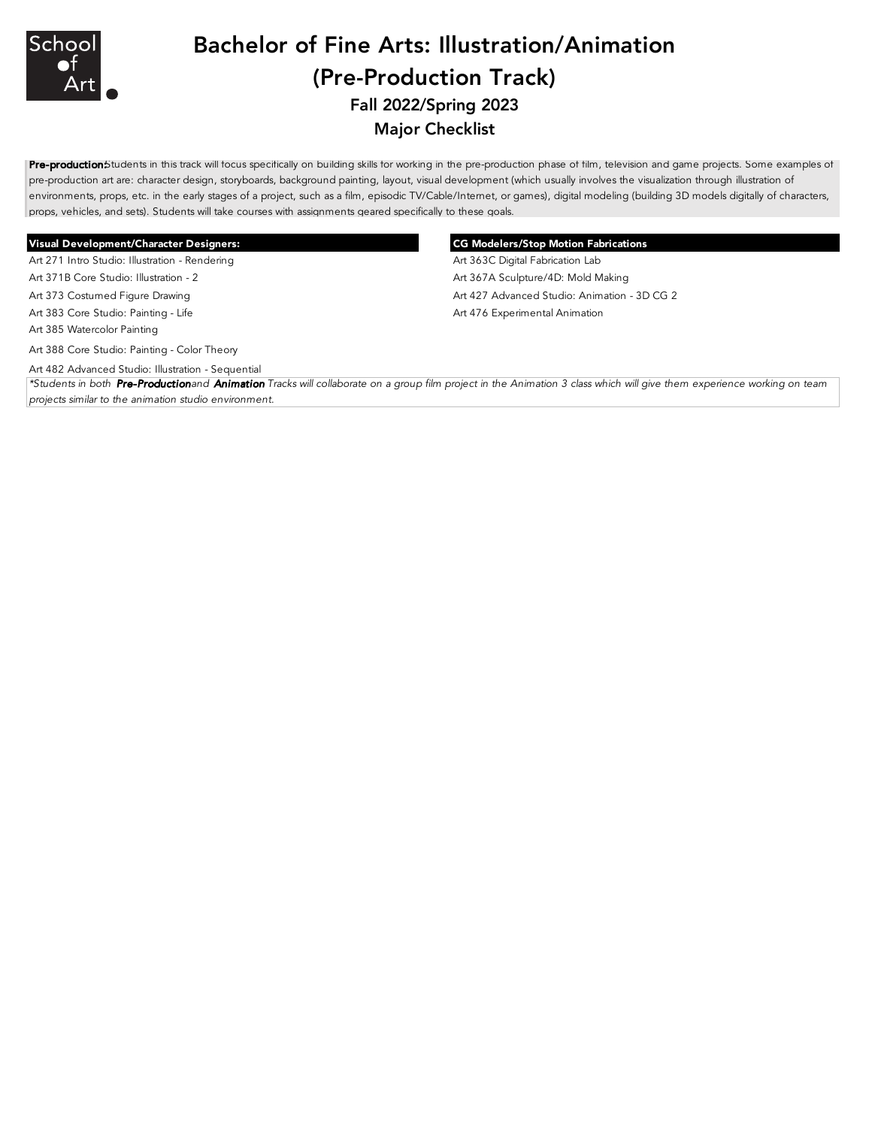

# Bachelor of Fine Arts: Illustration/Animation (Pre-Production Track) Fall 2022/Spring 2023 Major Checklist

Pre-productionStudents in this track will focus specifically on building skills for working in the pre-production phase of film, television and game projects. Some examples of pre-production art are: character design, storyboards, background painting, layout, visual development (which usually involves the visualization through illustration of environments, props, etc. in the early stages of a project, such as a film, episodic TV/Cable/Internet, or games), digital modeling (building 3D models digitally of characters, props, vehicles, and sets). Students will take courses with assignments geared specifically to these goals.

### Visual Development/Character Designers: CG Modelers/Stop Motion Fabrications

Art 271 Intro Studio: Illustration - Rendering Material Company Art 363C Digital Fabrication Lab

Art 385 Watercolor Painting

Art 388 Core Studio: Painting - Color Theory

Art 482 Advanced Studio: Illustration - Sequential

Art 371B Core Studio: Illustration - 2 **Art 367A Sculpture/4D: Mold Making** Art 373 Costumed Figure Drawing **Art 427 Advanced Studio: Animation - 3D CG 2** Art 427 Advanced Studio: Animation - 3D CG 2 Art 383 Core Studio: Painting - Life Art 476 Experimental Animation Art 476 Experimental Animation

*\*Students in both Pre-Production and Animation Tracks will collaborate on a group film project in the Animation 3 class which will give them experience working on team projects similar to the animation studio environment.*